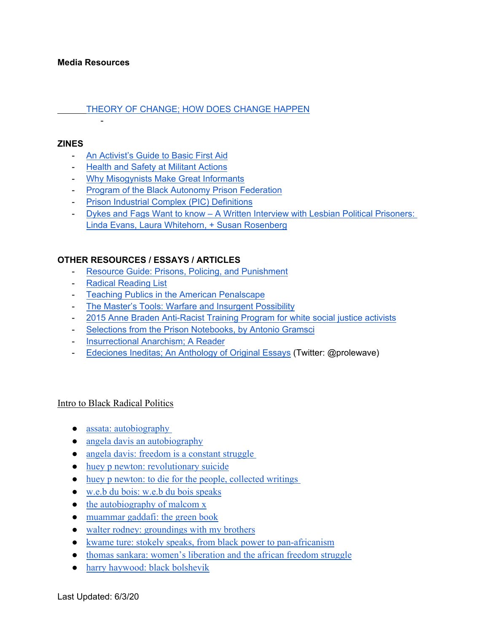#### **Media Resources**

#### [THEORY OF CHANGE; HOW DOES CHANGE HAPPEN](https://docs.google.com/document/d/1SW8dY8zrbalutFzM0I7qpqPbIo5pV2yZRzMWlitmkEU/edit)

#### **ZINES**

- [An Activist's Guide to Basic First Aid](https://drive.google.com/open?id=14SukMgo0Hg2fz0IFpdVx5l_98bOyhTYV)

**-** Production of the

- [Health and Safety at Militant Actions](https://drive.google.com/file/d/1GpMRluhdHn8qMZzcLMvXNv4UJcH0t8b2/view?usp=sharing)
- [Why Misogynists Make Great Informants](https://drive.google.com/open?id=1C3SUO8ppNzRPrbmtaUp5BXxqWscE_HZt)
- [Program of the Black Autonomy Prison Federation](https://drive.google.com/open?id=1FB-0EdmLFNw2VQZQIw4dInqcmGoKNx3T)
- [Prison Industrial Complex \(PIC\) Definitions](https://drive.google.com/open?id=1-INYJHvHd6BlNFJbZ3_NM4qQFStMnxZf)
- [Dykes and Fags Want to know A Written Interview with Lesbian Political Prisoners:](https://drive.google.com/open?id=10NvxW6i_JDUx-Uk53x48tXPqfNKqTZXR)  [Linda Evans, Laura Whitehorn, + Susan Rosenberg](https://drive.google.com/open?id=10NvxW6i_JDUx-Uk53x48tXPqfNKqTZXR)

#### **OTHER RESOURCES / ESSAYS / ARTICLES**

- [Resource Guide: Prisons, Policing, and Punishment](https://medium.com/@micahherskind/resource-guide-prisons-policing-and-punishment-effb5e0f6620)
- [Radical Reading List](https://docs.google.com/document/d/1kwDGZFH2-jFr4xZ2ynxQkihYwIVh_uZlp1-Q73uXzso/edit)
- [Teaching Publics in the American Penalscape](https://drive.google.com/file/d/1BkqYJ89ni9Cd8Qdqy29LUB7RHaS2WIy_/view?usp=sharing)
- [The Master's Tools: Warfare and Insurgent Possibility](https://libcom.org/files/Tom%20Nomad%20-%20The%20Master)
- [2015 Anne Braden Anti-Racist Training Program for white social justice activists](https://collectiveliberation.org/our-work-2/the-anne-braden-anti-racist-organizing-training-program/2015-abp/)
- [Selections from the Prison Notebooks, by Antonio Gramsci](http://abahlali.org/files/gramsci.pdf)
- [Insurrectional Anarchism; A Reader](https://illwilleditions.noblogs.org/files/2019/03/Insurrectional-Anarchism-a-reader-IWE-READ.pdf)
- [Edeciones Ineditas; An Anthology of Original Essays](https://prolewave.noblogs.org/files/2019/12/In%C3%A9ditas-Anthology.pdf) (Twitter: @prolewave)

#### Intro to Black Radical Politics

- assata: autobiography
- [angela davis an autobiography](https://drive.google.com/file/d/16ioWGMPJN4SL5nv-6pbYxodS2tcLQAlW/view?usp=sharing)
- angela davis: freedom is a constant struggle
- [huey p newton: revolutionary suicide](https://drive.google.com/file/d/1QcRSffjPDxJttF1Kz_h6V4egO0h_qmdS/view?usp=sharing)
- huey p newton: to die for the people, collected writings
- [w.e.b du bois: w.e.b du bois speaks](https://drive.google.com/file/d/1SYP3D4yy00BoZV3hmvepNLraUQwk362R/view?usp=sharing)
- [the autobiography of malcom x](https://drive.google.com/file/d/1HovRJKltP2nxNMvIc4KG6LSfkZPZ-thj/view?usp=sharing)
- [muammar gaddafi: the green book](https://drive.google.com/file/d/1_SDvIw3momwBuYI9ZY5-UE3SvESeAiZH/view?usp=sharing)
- [walter rodney: groundings with my brothers](https://drive.google.com/file/d/1trmfxKJkPhU51B718W_nNPq_DjnEu1xB/view?usp=sharing)
- [kwame ture: stokely speaks, from black power to pan-africanism](https://drive.google.com/file/d/1NGH-Sd_1BWAGz7ZKsANFswCxpNaYxvXx/view?usp=sharing)
- [thomas sankara: women's liberation and the african freedom struggle](https://drive.google.com/file/d/11-NjIXgv3lW6XAcDhhNlRLw7lPCTe8O0/view?usp=sharing)
- [harry haywood: black bolshevik](https://drive.google.com/file/d/1naNULwdDkum00EieXabnilVED-EDyCBE/view?usp=sharing)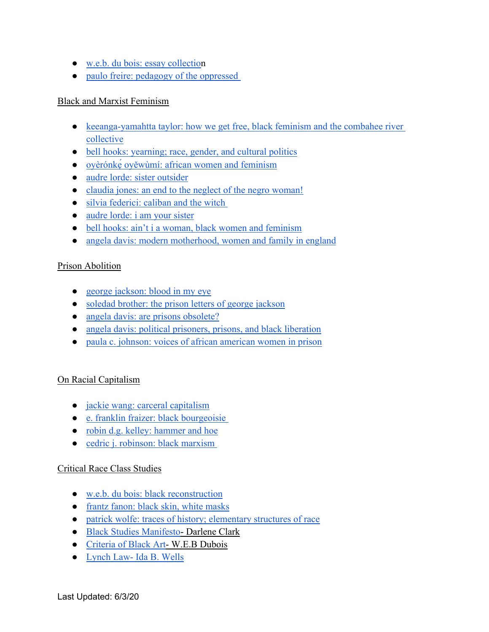- [w.e.b. du bois: essay collection](https://drive.google.com/file/d/1eMRXXGIFPR9IV6DJYWI3qRm1YTQ8rSoi/view?usp=sharing)
- paulo freire: pedagogy of the oppressed

# Black and Marxist Feminism

- keeanga-yamahtta taylor: how we get free, black feminism and the combahee river [collective](https://drive.google.com/file/d/1Vk4h3_MdGZLClLJpFOX0Ub74X1UKO5w1/view?usp=sharing)
- [bell hooks: yearning; race, gender, and cultural politics](https://drive.google.com/file/d/1A7q-sRqf9l9ItEwIAJb-rqO1G5RGHV4N/view?usp=sharing)
- [oyèrónkẹ́ oyěwùmí: african women and feminism](https://drive.google.com/file/d/1eovWk6J_DKcwrccXICHxmlwERVFQCmQk/view?usp=sharing)
- [audre lorde: sister outsider](https://drive.google.com/file/d/1ivue2-iRxkYR1HPiS6TzNwjSU4x4i52z/view?usp=sharing)
- [claudia jones: an end to the neglect of the negro woman!](https://drive.google.com/file/d/1_pLNrNp6_02sdTRqm3C7pOahUwGWPLuJ/view?usp=sharing)
- silvia federici: caliban and the witch
- [audre lorde: i am your sister](https://drive.google.com/file/d/17-EC-HCKzH0EzmnprJY9w6Pecpllm9hv/view?usp=sharing)
- [bell hooks: ain't i a woman, black women and feminism](https://drive.google.com/file/d/1vS8wIqjAw2Sdexe6Z6HijRjjjgy5sNqZ/view?usp=sharing)
- [angela davis: modern motherhood, women and family in england](https://drive.google.com/file/d/1sNxwwfkwR24xhlMFP_n1347gjrem80LC/view?usp=sharing)

# Prison Abolition

- [george jackson: blood in my eye](https://drive.google.com/file/d/1jKR8OUhttB6oFw8YCCsFWBaJpte0OIlV/view?usp=sharing)
- [soledad brother: the prison letters of george jackson](https://drive.google.com/file/d/1lvij3TkwDOwSFO-dC46K_2R_f7RVuxQK/view?usp=sharing)
- [angela davis: are prisons obsolete?](https://drive.google.com/file/d/1kM1S-Agaq5IJyjjUnFHmkbdS7NRO4KjB/view?usp=sharing)
- [angela davis: political prisoners, prisons, and black liberation](https://drive.google.com/file/d/1ztYy-MuH1zR83XTSjnKjIrQkRNTFd2Nu/view?usp=sharing)
- [paula c. johnson: voices of african american women in prison](https://drive.google.com/file/d/15lG_MZKYxNHTIZv6vHZy3DxsYqhMss9R/view?usp=sharing)

# On Racial Capitalism

- [jackie wang: carceral capitalism](https://drive.google.com/file/d/1Ye9UnzWllYoUc3RMgOhUVkMjc1Nm2qwi/view?usp=sharing)
- [e. franklin fraizer: black bourgeoisie](https://drive.google.com/file/d/13oF0Sk4RzLkKu8PjqpCAK0XNW6pt81Ap/view?usp=sharing)
- [robin d.g. kelley: hammer and hoe](https://drive.google.com/file/d/1rZeb8V6g4QemBEr5Bpu7jOqcypi3wcP9/view?usp=sharing)
- [cedric j. robinson: black marxism](https://drive.google.com/file/d/1IxsBSUxamxX2eUJjxkBPfE6VZ5zKRZ4c/view?usp=sharing)

# Critical Race Class Studies

- [w.e.b. du bois: black reconstruction](https://drive.google.com/file/d/1JB8X3o2hTk0UA2bpNcLBvaSe7KJZoxD5/view?usp=sharing)
- [frantz fanon: black skin, white masks](https://drive.google.com/file/d/1mHVuFDecEhA4Bc9z2kNNihKp4zFC0Lcb/view?usp=sharing)
- [patrick wolfe: traces of history; elementary structures of race](https://drive.google.com/file/d/1Tu0DUr3dJU5r3jIZF9jh5XSBOkBba32K/view?usp=sharing)
- [Black Studies Manifesto-](https://s3.amazonaws.com/blackboard.learn.xythos.prod/5a306634d5d25/6685440?response-cache-control=private%2C%20max-age%3D21600&response-content-disposition=inline%3B%20filename%2A%3DUTF-8%27%27A%2520Black%2520Studies%2520Manifesto.pdf&response-content-type=application%2Fpdf&X-Amz-Algorithm=AWS4-HMAC-SHA256&X-Amz-Date=20200530T180000Z&X-Amz-SignedHeaders=host&X-Amz-Expires=21600&X-Amz-Credential=AKIAIL7WQYDOOHAZJGWQ%2F20200530%2Fus-east-1%2Fs3%2Faws4_request&X-Amz-Signature=a32fc8f7f32b50322956e2dac521070fa2fab9434b006790a1e84d5c6e199a8f) Darlene Clark
- [Criteria of Black Art-](https://s3.amazonaws.com/blackboard.learn.xythos.prod/5a306634d5d25/2242354?response-cache-control=private%2C%20max-age%3D21600&response-content-disposition=inline%3B%20filename%2A%3DUTF-8%27%27THE%2520CRITERIA%2520OF%2520NEGRO%2520ART%2520DUBOIS.pdf&response-content-type=application%2Fpdf&X-Amz-Algorithm=AWS4-HMAC-SHA256&X-Amz-Date=20200530T180000Z&X-Amz-SignedHeaders=host&X-Amz-Expires=21600&X-Amz-Credential=AKIAIL7WQYDOOHAZJGWQ%2F20200530%2Fus-east-1%2Fs3%2Faws4_request&X-Amz-Signature=96c9d6c51df8cab6915a7284821ef423db5fca388130a1b8696178933431c923) W.E.B Dubois
- [Lynch Law- Ida B. Wells](http://www.historyisaweapon.com/defcon1/wellslynchlaw.html)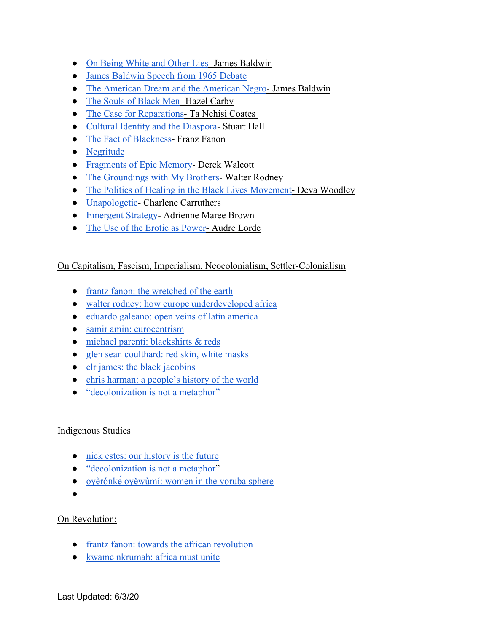- [On Being White and Other Lies-](http://www.cwsworkshop.org/pdfs/CARC/Family_Herstories/2_On_Being_White.PDF) James Baldwin
- [James Baldwin Speech from 1965 Debate](https://speakola.com/ideas/james-baldwin-v-william-f-buckley-1965)
- [The American Dream and the American Negro-](https://archive.nytimes.com/www.nytimes.com/books/98/03/29/specials/baldwin-dream.html) James Baldwin
- [The Souls of Black Men](https://s3.amazonaws.com/blackboard.learn.xythos.prod/5a306634d5d25/7002992?response-cache-control=private%2C%20max-age%3D21600&response-content-disposition=inline%3B%20filename%2A%3DUTF-8%27%27THE%2520SOULS%2520OF%2520BLACK%2520MEN%2520BY%2520HAZEL%2520CARBY.pdf&response-content-type=application%2Fpdf&X-Amz-Algorithm=AWS4-HMAC-SHA256&X-Amz-Date=20200530T180000Z&X-Amz-SignedHeaders=host&X-Amz-Expires=21600&X-Amz-Credential=AKIAIL7WQYDOOHAZJGWQ%2F20200530%2Fus-east-1%2Fs3%2Faws4_request&X-Amz-Signature=b92644656d630847dba497e7ddac05094c08301b87672e03f2731e944bceab02) Hazel Carby
- [The Case for Reparations](https://s3.amazonaws.com/blackboard.learn.xythos.prod/5a306634d5d25/7050483?response-cache-control=private%2C%20max-age%3D21600&response-content-disposition=inline%3B%20filename%2A%3DUTF-8%27%27THE%2520CASE%2520FOR%2520REPARATIONS.pdf&response-content-type=application%2Fpdf&X-Amz-Algorithm=AWS4-HMAC-SHA256&X-Amz-Date=20200530T180000Z&X-Amz-SignedHeaders=host&X-Amz-Expires=21600&X-Amz-Credential=AKIAIL7WQYDOOHAZJGWQ%2F20200530%2Fus-east-1%2Fs3%2Faws4_request&X-Amz-Signature=932679aa564d9ff3f913b0c3ed47cb76d36b47e4080c1f69a38fb0bf62e1d3df) Ta Nehisi Coates
- [Cultural Identity and the Diaspora-](http://sites.middlebury.edu/nydiasporaworkshop/files/2011/04/D-OA-HallStuart-CulturalIdentityandDiaspora.pdf)Stuart Hall
- [The Fact of Blackness-](https://s3.amazonaws.com/blackboard.learn.xythos.prod/5a306634d5d25/3304256?response-cache-control=private%2C%20max-age%3D21600&response-content-disposition=inline%3B%20filename%2A%3DUTF-8%27%27FANON%2520THE%2520FACT%2520OF%2520BLACKNESS.pdf&response-content-type=application%2Fpdf&X-Amz-Algorithm=AWS4-HMAC-SHA256&X-Amz-Date=20200530T180000Z&X-Amz-SignedHeaders=host&X-Amz-Expires=21600&X-Amz-Credential=AKIAIL7WQYDOOHAZJGWQ%2F20200530%2Fus-east-1%2Fs3%2Faws4_request&X-Amz-Signature=efa0f3370ddbc98fe8217280705a8fb61ec714b3ac3dc45dee26de9bd2f87d84) Franz Fanon
- [Negritude](http://exhibitions.nypl.org/africanaage/essay-negritude.html)
- [Fragments of Epic Memory-](https://www.nobelprize.org/prizes/literature/1992/walcott/lecture/) Derek Walcott
- [The Groundings with My Brothers-](https://s3.amazonaws.com/blackboard.learn.xythos.prod/5a306634d5d25/7291930?response-cache-control=private%2C%20max-age%3D21600&response-content-disposition=inline%3B%20filename%2A%3DUTF-8%27%27THE%2520GROUNDINGS%2520WITH%2520MY%2520BROTHERS%2520WALTER%2520RODNEY.pdf&response-content-type=application%2Fpdf&X-Amz-Algorithm=AWS4-HMAC-SHA256&X-Amz-Date=20200530T180000Z&X-Amz-SignedHeaders=host&X-Amz-Expires=21600&X-Amz-Credential=AKIAIL7WQYDOOHAZJGWQ%2F20200530%2Fus-east-1%2Fs3%2Faws4_request&X-Amz-Signature=7f83bfa1fd11245518f5da45e1d0833f165f01988a477f7bf208304cae597b32)Walter Rodney
- [The Politics of Healing in the Black Lives Movement](https://s3.amazonaws.com/blackboard.learn.xythos.prod/5a306634d5d25/7357748?response-cache-control=private%2C%20max-age%3D21600&response-content-disposition=inline%3B%20filename%2A%3DUTF-8%27%27BLACK%2520FEMINISTS%2520VISIONS%2520AND%2520HEALING.pdf&response-content-type=application%2Fpdf&X-Amz-Algorithm=AWS4-HMAC-SHA256&X-Amz-Date=20200530T180000Z&X-Amz-SignedHeaders=host&X-Amz-Expires=21600&X-Amz-Credential=AKIAIL7WQYDOOHAZJGWQ%2F20200530%2Fus-east-1%2Fs3%2Faws4_request&X-Amz-Signature=12e81790bf07320fc55ed5afe3ce5c051e2ee778878984b03de637e4002ec463) Deva Woodley
- [Unapologetic-](https://s3.amazonaws.com/blackboard.learn.xythos.prod/5a306634d5d25/7385353?response-cache-control=private%2C%20max-age%3D21600&response-content-disposition=inline%3B%20filename%2A%3DUTF-8%27%27UNAPOLOGETIC.pdf&response-content-type=application%2Fpdf&X-Amz-Algorithm=AWS4-HMAC-SHA256&X-Amz-Date=20200530T180000Z&X-Amz-SignedHeaders=host&X-Amz-Expires=21600&X-Amz-Credential=AKIAIL7WQYDOOHAZJGWQ%2F20200530%2Fus-east-1%2Fs3%2Faws4_request&X-Amz-Signature=642e75b8025dfc19a7d8c9831d4ed9cf4be87e08e1d597d5ad1e377e2a2935bc) Charlene Carruthers
- [Emergent Strategy-](https://s3.amazonaws.com/blackboard.learn.xythos.prod/5a306634d5d25/7412025?response-cache-control=private%2C%20max-age%3D21600&response-content-disposition=inline%3B%20filename%2A%3DUTF-8%27%27EMERGENT%2520STRATEGY%2520READINGS.pdf&response-content-type=application%2Fpdf&X-Amz-Algorithm=AWS4-HMAC-SHA256&X-Amz-Date=20200530T180000Z&X-Amz-SignedHeaders=host&X-Amz-Expires=21600&X-Amz-Credential=AKIAIL7WQYDOOHAZJGWQ%2F20200530%2Fus-east-1%2Fs3%2Faws4_request&X-Amz-Signature=fcfe2dfdb9309cd2456f33a4e661fb0c163635d83e57c3552eed9fcc486592e0) Adrienne Maree Brown
- [The Use of the Erotic as Power-](https://s3.amazonaws.com/blackboard.learn.xythos.prod/5a306634d5d25/2256262?response-cache-control=private%2C%20max-age%3D21600&response-content-disposition=inline%3B%20filename%2A%3DUTF-8%27%27THE%2520USE%2520OF%2520THE%2520EROTIC%2520AS%2520POWER.pdf&response-content-type=application%2Fpdf&X-Amz-Algorithm=AWS4-HMAC-SHA256&X-Amz-Date=20200530T180000Z&X-Amz-SignedHeaders=host&X-Amz-Expires=21600&X-Amz-Credential=AKIAIL7WQYDOOHAZJGWQ%2F20200530%2Fus-east-1%2Fs3%2Faws4_request&X-Amz-Signature=a8d531cf4f4bc89a6575ea35c726bb30512b189f10f51bd8d239fb74ba88cec7) Audre Lorde

# On Capitalism, Fascism, Imperialism, Neocolonialism, Settler-Colonialism

- [frantz fanon: the wretched of the earth](https://drive.google.com/file/d/18YQzaxseFNZH14kqh-gQcAvkEgq1IJhA/view?usp=sharing)
- [walter rodney: how europe underdeveloped africa](https://drive.google.com/file/d/1S-ELFqzJSZEu18OD_Ho1GAbi9ZDjOkIj/view?usp=sharing)
- eduardo galeano: open veins of latin america
- [samir amin: eurocentrism](http://www.cronistas.org/wp-content/uploads/2016/08/Eurocentrism-Samir-Amin.pdf)
- [michael parenti: blackshirts & reds](https://drive.google.com/file/d/1K1AqGtjCw972rr8sQjqpFozxcxBASJlA/view?usp=sharing)
- glen sean coulthard: red skin, white masks
- [clr james: the black jacobins](http://www.ouleft.org/wp-content/uploads/CLR_James_The_Black_Jacobins.pdf)
- [chris harman: a people's history of the world](http://digamo.free.fr/harman99.pdf)
- ["decolonization is not a metaphor"](https://drive.google.com/file/d/0BwWkvy7DK9vab3RnR3pFc2pmck0/view)

# Indigenous Studies

- [nick estes: our history is the future](https://drive.google.com/file/d/1rkDYl2O27QYBKXToKCDcl3_Hc6px8aOA/view?usp=sharing)
- ["decolonization is not a metaphor"](https://drive.google.com/file/d/0BwWkvy7DK9vab3RnR3pFc2pmck0/view)
- [oyèrónkẹ́ oyěwùmí: women in the yoruba sphere](https://drive.google.com/file/d/1i7V8LqyztvMVaVCEKcdWnehUoFk0LPj0/view?usp=sharing)
- ●

# On Revolution:

- [frantz fanon: towards the african revolution](https://drive.google.com/file/d/1_sIMAIKi1nITJegaiJwwrQl_sWhKNg0G/view?usp=sharing)
- [kwame nkrumah: africa must unite](https://drive.google.com/file/d/1jFLZQKdueHi6lMFzg0iShYQc2pzdiEKf/view?usp=sharing)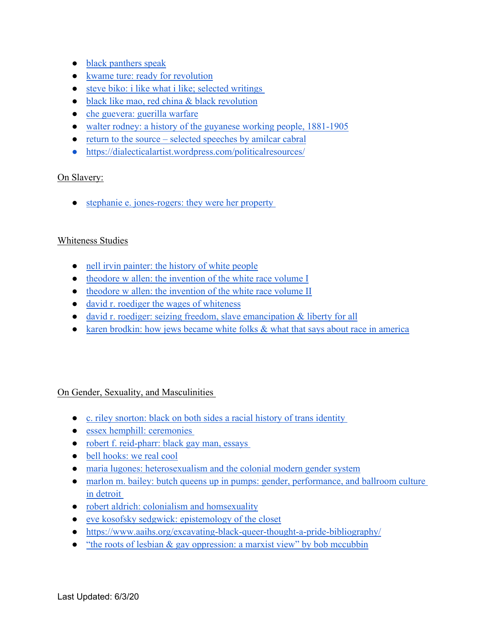- [black panthers speak](https://drive.google.com/file/d/1wSOEMMfKiu3i25RP_yp-J9cp1avWUW8j/view?usp=sharing)
- [kwame ture: ready for revolution](https://drive.google.com/file/d/1Dq2M9V2-xtldyZnemsqA14UL2_xy7pkl/view?usp=sharing)
- steve biko: i like what i like; selected writings
- [black like mao, red china & black revolution](https://drive.google.com/file/d/1pc3lPe5ztK8YfLdB6pk5H2J4UsPqt6hh/view?usp=sharing)
- [che guevera: guerilla warfare](https://drive.google.com/file/d/1HIn1avnJgUvhBe7x1kvnnAiIhwV4uuvW/view?usp=sharing)
- [walter rodney: a history of the guyanese working people, 1881-1905](https://drive.google.com/file/d/1z6FXg8WnEwlgRK3rtNjG2dR8PWVYqkLF/view?usp=sharing)
- [return to the source selected speeches by amilcar cabral](https://www.scribd.com/doc/81956607/Return-to-the-Source-Selected-Speeches-of-Amilcar-Cabral)
- <https://dialecticalartist.wordpress.com/politicalresources/>

# On Slavery:

• stephanie e. jones-rogers: they were her property

#### Whiteness Studies

- [nell irvin painter: the history of white people](https://drive.google.com/file/d/1hp-Bs00RO8thhWrSC2SnvueD7x0gKQoB/view?usp=sharing)
- [theodore w allen: the invention of the white race volume I](https://drive.google.com/file/d/1odd-DNXSqg69VDfNxjAs3n1HIFtVDZdH/view?usp=sharing)
- [theodore w allen: the invention of the white race volume II](https://drive.google.com/file/d/1Lc5aP1lYjwaZ3eEcTFCDO983N58zxhu1/view?usp=sharing)
- [david r. roediger the wages of whiteness](https://drive.google.com/file/d/1vZv1HLGjk8H1tjW-RJk8dtmHVLvY58K0/view?usp=sharing)
- [david r. roediger: seizing freedom, slave emancipation & liberty for all](https://drive.google.com/file/d/1_M6cqh9QIf8iBDoHz6vim3EU4TxOqhh2/view?usp=sharing)
- [karen brodkin: how jews became white folks & what that says about race in america](https://drive.google.com/file/d/1eeGkcxok268vX95J9_wFpOf1b32jroMq/view?usp=sharing)

# On Gender, Sexuality, and Masculinities

- [c. riley snorton: black on both sides a racial history of trans identity](https://drive.google.com/file/d/1KgxnKKtH4qToMENGXrbFOgDataqR-uJV/view?usp=sharing)
- essex hemphill: ceremonies
- robert f. reid-pharr: black gay man, essays
- [bell hooks: we real cool](https://drive.google.com/file/d/154-xBsCJ9524wVzPpUOy9hRPXN1YRrWJ/view?usp=sharing)
- [maria lugones: heterosexualism and the colonial modern gender system](https://drive.google.com/file/d/1eeGkcxok268vX95J9_wFpOf1b32jroMq/view?usp=sharing)
- marlon m. bailey: butch queens up in pumps: gender, performance, and ballroom culture [in detroit](https://drive.google.com/file/d/1UxQ_KaVn5NTUx-Ob5f5k3ic_o5IjXnUh/view?usp=sharing)
- [robert aldrich: colonialism and homsexuality](https://drive.google.com/file/d/1L-YxENvPIQXqploktCFyo3p3gzM82KDW/view?usp=sharing)
- [eve kosofsky sedgwick: epistemology of the closet](https://drive.google.com/file/d/1F8E8V1w6Vtp0dzkUrij-UF09Ad-zY6pp/view?usp=sharing)
- <https://www.aaihs.org/excavating-black-queer-thought-a-pride-bibliography/>
- "the roots of lesbian  $\&$  gay oppression: a marxist view" by bob mccubbin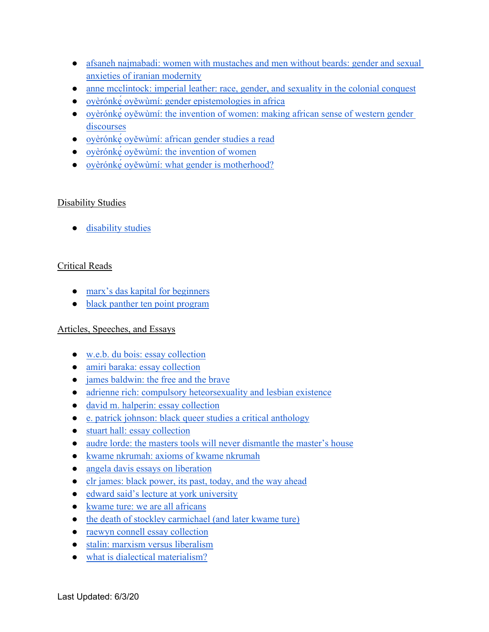- [afsaneh najmabadi: women with mustaches and men without beards: gender and sexual](https://teyit.org/wp-content/uploads/2017/06/Afsaneh-Najmabadi-Women-with-Mustaches-and-Men-without-Beards_-Gender-and-Sexual-Anxieties-of-Iranian-Modernity-University-of-California-Press-2005.pdf)  [anxieties of iranian modernity](https://teyit.org/wp-content/uploads/2017/06/Afsaneh-Najmabadi-Women-with-Mustaches-and-Men-without-Beards_-Gender-and-Sexual-Anxieties-of-Iranian-Modernity-University-of-California-Press-2005.pdf)
- [anne mcclintock: imperial leather: race, gender, and sexuality in the colonial conquest](https://selforganizedseminar.files.wordpress.com/2011/07/mcclintock_imperial-leather.pdf)
- ovèrónke<sup> $\alpha$ </sup> ověwùmí: gender epistemologies in africa
- ovèrónkę oyěwùmí: the invention of women: making african sense of western gender [discourses](https://drive.google.com/file/d/106aJSpgSkz0zdpe2GiClzx2zXbthD0er/view?usp=sharing)
- [oyèrónkẹ́ oyěwùmí: african gender studies a read](https://drive.google.com/file/d/1e6DEdM0PUppdjNfIkcjdDMYXgejpepyJ/view?usp=sharing)
- oyèrónkę oyěwùmí: the invention of women
- oyèrónke oyěwùmí: what gender is motherhood?

# Disability Studies

● [disability studies](https://drive.google.com/file/d/1j07_5IzVt0stlTsMRt2Y0EONBFaCfvrt/view?usp=sharing)

# Critical Reads

- [marx's das kapital for beginners](https://drive.google.com/file/d/190jTJTeshwO_DFxF76bWwFX9D_ljlwOv/view?usp=sharing)
- [black panther ten point program](https://drive.google.com/file/d/1t_85beYCUMeQGCa4yt4vnwC_YoIyAQtU/view?usp=sharing)

# Articles, Speeches, and Essays

- [w.e.b. du bois: essay collection](https://drive.google.com/file/d/1eMRXXGIFPR9IV6DJYWI3qRm1YTQ8rSoi/view?usp=sharing)
- [amiri baraka: essay collection](https://drive.google.com/file/d/1m-8af8OB301kDnxM-PTzFkyxg09vaasq/view?usp=sharing)
- [james baldwin: the free and the brave](https://youtu.be/EMYgOfcgMaI)
- [adrienne rich: compulsory heteorsexuality and lesbian existence](https://drive.google.com/file/d/1OghFyWyuXlRnubBrBnfeAF6MpuN4A8pD/view?usp=sharing)
- [david m. halperin: essay collection](https://drive.google.com/file/d/1swpS8te6zDckQRzmGG3fprr-Ej8Mt9xy/view?usp=sharing)
- [e. patrick johnson: black queer studies a critical anthology](https://drive.google.com/file/d/19tDr3Ti7m1UUkUOrJy_3Hc8Rg_Sj6TOK/view?usp=sharing)
- [stuart hall: essay collection](https://drive.google.com/drive/folders/1Gka4CG_p7qLHpdTF35czRChSf8Zo84LZ?usp=sharing)
- [audre lorde: the masters tools will never dismantle the master's house](https://drive.google.com/file/d/10zQMSaEnikvZ8ehVC_teg78jHNWMLkii/view?usp=sharing)
- [kwame nkrumah: axioms of kwame nkrumah](https://drive.google.com/file/d/161mM7znbJCGqyi9xKA2NjgDBVh4FDr1o/view?usp=sharing)
- [angela davis essays on liberation](https://drive.google.com/file/d/1bUw3f7xd0JX11aBY32XYKe5kqoc34wXy/view?usp=sharing)
- [clr james: black power, its past, today, and the way ahead](https://drive.google.com/file/d/1IKuWAVp5KveNtydOrJdLnqyCgoTMNSTR/view?usp=sharing)
- [edward said's lecture at york university](https://drive.google.com/file/d/1YdsJtKf1jIrSYIosKwpzDzIa4CgqP11i/view?usp=sharing)
- [kwame ture: we are all africans](https://drive.google.com/file/d/1hGdsF8EXQExw_FMh0ebWifid5qH2i4gY/view?usp=sharing)
- [the death of stockley carmichael \(and later kwame ture\)](https://drive.google.com/file/d/1vL9eA8VCzmHhzeUT_w2BS2iDujAg17rv/view?usp=sharing)
- [raewyn connell essay collection](https://drive.google.com/drive/folders/16008JDi6t97TWZ5rRHwYVVY1Tdpay-qc?usp=sharing)
- [stalin: marxism versus liberalism](https://www.marxists.org/reference/archive/stalin/works/1934/07/23.htm)
- [what is dialectical materialism?](http://www.marxist.com/what-is-dialectical-materialism.htm)